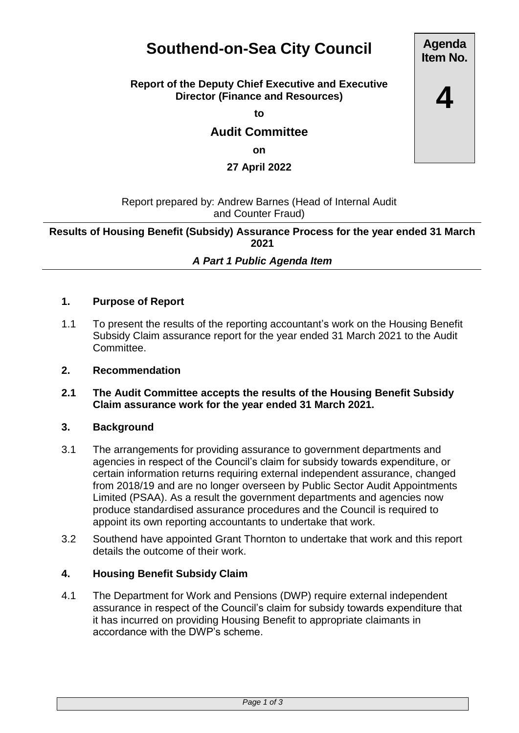# **Southend-on-Sea City Council**

## **Report of the Deputy Chief Executive and Executive Director (Finance and Resources)**

**to**

**Audit Committee**

**on**

**27 April 2022**

Report prepared by: Andrew Barnes (Head of Internal Audit and Counter Fraud)

**Results of Housing Benefit (Subsidy) Assurance Process for the year ended 31 March 2021**

# *A Part 1 Public Agenda Item*

## **1. Purpose of Report**

- 1.1 To present the results of the reporting accountant's work on the Housing Benefit Subsidy Claim assurance report for the year ended 31 March 2021 to the Audit Committee.
- **2. Recommendation**
- **2.1 The Audit Committee accepts the results of the Housing Benefit Subsidy Claim assurance work for the year ended 31 March 2021.**

#### **3. Background**

- 3.1 The arrangements for providing assurance to government departments and agencies in respect of the Council's claim for subsidy towards expenditure, or certain information returns requiring external independent assurance, changed from 2018/19 and are no longer overseen by Public Sector Audit Appointments Limited (PSAA). As a result the government departments and agencies now produce standardised assurance procedures and the Council is required to appoint its own reporting accountants to undertake that work.
- 3.2 Southend have appointed Grant Thornton to undertake that work and this report details the outcome of their work.

#### **4. Housing Benefit Subsidy Claim**

4.1 The Department for Work and Pensions (DWP) require external independent assurance in respect of the Council's claim for subsidy towards expenditure that it has incurred on providing Housing Benefit to appropriate claimants in accordance with the DWP's scheme.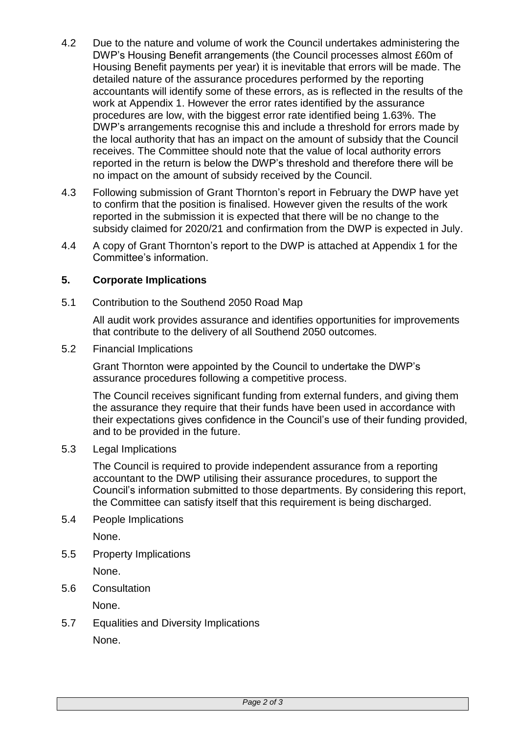- 4.2 Due to the nature and volume of work the Council undertakes administering the DWP's Housing Benefit arrangements (the Council processes almost £60m of Housing Benefit payments per year) it is inevitable that errors will be made. The detailed nature of the assurance procedures performed by the reporting accountants will identify some of these errors, as is reflected in the results of the work at Appendix 1. However the error rates identified by the assurance procedures are low, with the biggest error rate identified being 1.63%. The DWP's arrangements recognise this and include a threshold for errors made by the local authority that has an impact on the amount of subsidy that the Council receives. The Committee should note that the value of local authority errors reported in the return is below the DWP's threshold and therefore there will be no impact on the amount of subsidy received by the Council.
- 4.3 Following submission of Grant Thornton's report in February the DWP have yet to confirm that the position is finalised. However given the results of the work reported in the submission it is expected that there will be no change to the subsidy claimed for 2020/21 and confirmation from the DWP is expected in July.
- 4.4 A copy of Grant Thornton's report to the DWP is attached at Appendix 1 for the Committee's information.

## **5. Corporate Implications**

5.1 Contribution to the Southend 2050 Road Map

All audit work provides assurance and identifies opportunities for improvements that contribute to the delivery of all Southend 2050 outcomes.

5.2 Financial Implications

Grant Thornton were appointed by the Council to undertake the DWP's assurance procedures following a competitive process.

The Council receives significant funding from external funders, and giving them the assurance they require that their funds have been used in accordance with their expectations gives confidence in the Council's use of their funding provided, and to be provided in the future.

5.3 Legal Implications

The Council is required to provide independent assurance from a reporting accountant to the DWP utilising their assurance procedures, to support the Council's information submitted to those departments. By considering this report, the Committee can satisfy itself that this requirement is being discharged.

5.4 People Implications

None.

5.5 Property Implications

None.

5.6 Consultation

None.

5.7 Equalities and Diversity Implications None.